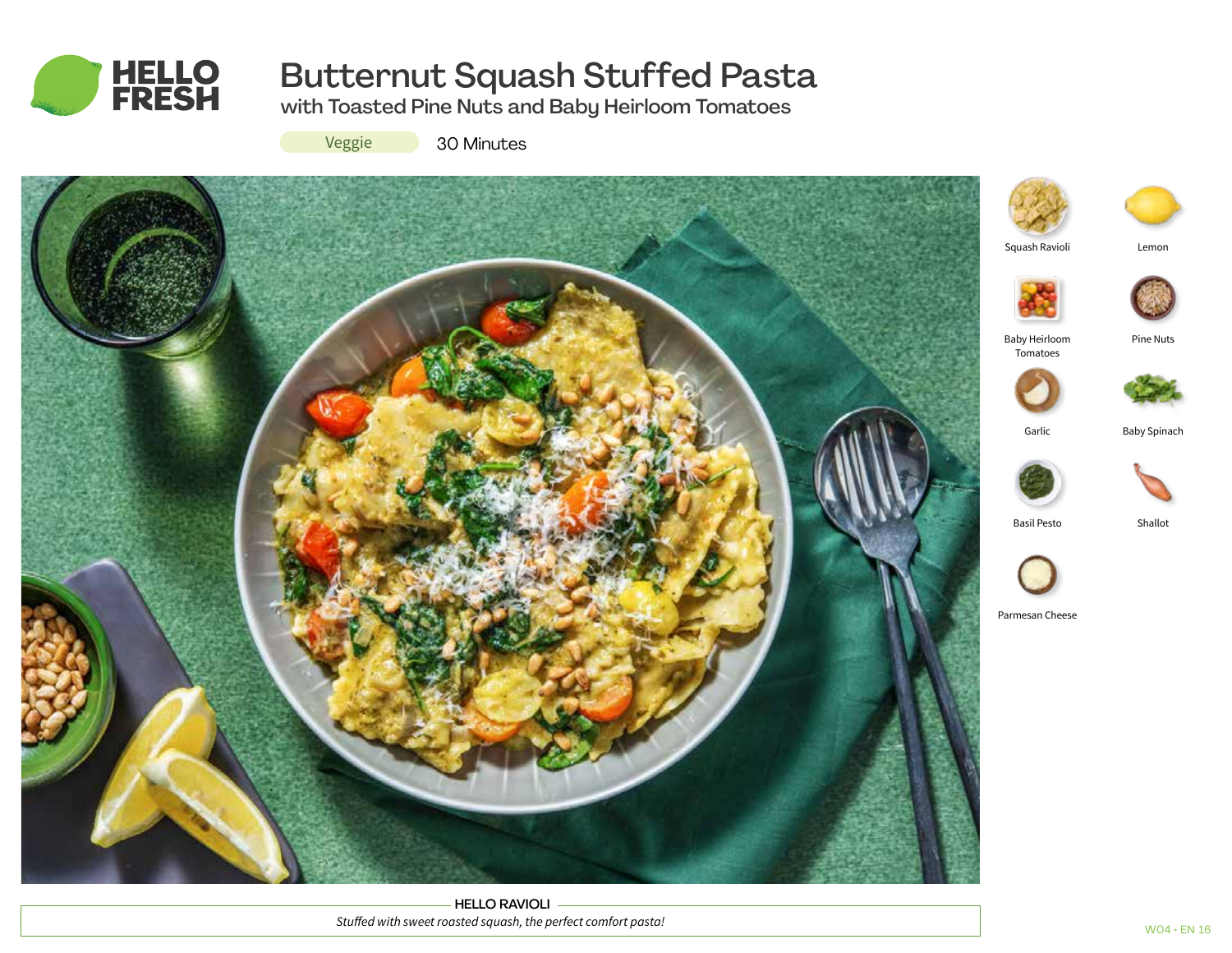

# Butternut Squash Stuffed Pasta

with Toasted Pine Nuts and Baby Heirloom Tomatoes

Veggie

30 Minutes



HELLO RAVIOLI *Stuffed with sweet roasted squash, the perfect comfort pasta!*